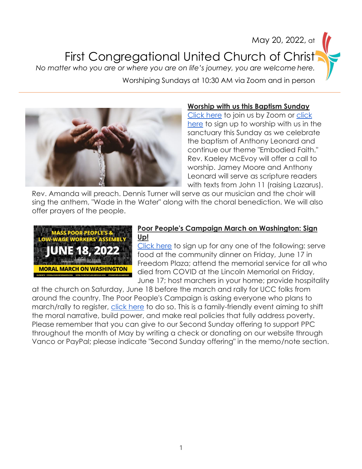# May 20, 2022, at First Congregational United Church of Christ *No matter who you are or where you are on life's journey, you are welcome here.* Worshiping Sundays at 10:30 AM via Zoom and in person



#### **Worship with us this Baptism Sunday**

[Click here](https://us02web.zoom.us/j/82573190587?pwd=N0YrK2RQZEh0aHVvNFJ5T0FScytQUT09) to join us by Zoom or [click](https://www.signupgenius.com/go/10c0a4faaa72aa1ff2-first)  [here](https://www.signupgenius.com/go/10c0a4faaa72aa1ff2-first) to sign up to worship with us in the sanctuary this Sunday as we celebrate the baptism of Anthony Leonard and continue our theme "Embodied Faith." Rev. Kaeley McEvoy will offer a call to worship. Jamey Moore and Anthony Leonard will serve as scripture readers with texts from John 11 (raising Lazarus).

Rev. Amanda will preach. Dennis Turner will serve as our musician and the choir will sing the anthem, "Wade in the Water" along with the choral benediction. We will also offer prayers of the people.



#### **Poor People's Campaign March on Washington: Sign Up!**

[Click here](https://www.signupgenius.com/go/10c0b49a4a628a2fa7-poor) to sign up for any one of the following: serve food at the community dinner on Friday, June 17 in Freedom Plaza; attend the memorial service for all who died from COVID at the Lincoln Memorial on Friday, June 17; host marchers in your home; provide hospitality

at the church on Saturday, June 18 before the march and rally for UCC folks from around the country. The Poor People's Campaign is asking everyone who plans to march/rally to register, [click here](https://actionnetwork.org/forms/june-2022-mass-poor-peoples-assembly-and-moral-march-on-washington?source=facebook&&fbclid=IwAR2Xck5VCv4ywobnPV4DhB10f5r3vG7KF5BPzm9j98OVrYFgZvPL1ARUamU) to do so. This is a family-friendly event aiming to shift the moral narrative, build power, and make real policies that fully address poverty. Please remember that you can give to our Second Sunday offering to support PPC throughout the month of May by writing a check or donating on our website through Vanco or PayPal; please indicate "Second Sunday offering" in the memo/note section.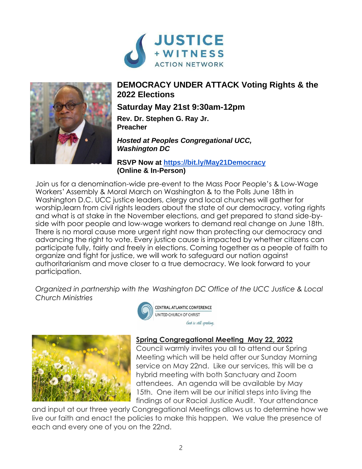



## **DEMOCRACY UNDER ATTACK Voting Rights & the 2022 Elections**

## **Saturday May 21st 9:30am-12pm**

**Rev. Dr. Stephen G. Ray Jr. Preacher**

#### *Hosted at Peoples Congregational UCC, Washington DC*

**RSVP Now at [https://bit.ly/May21Democracy](https://bit.ly/May21-Democracy) (Online & In-Person)**

Join us for a denomination-wide pre-event to the Mass Poor People's & Low-Wage Workers' Assembly & Moral March on Washington & to the Polls June 18th in Washington D.C. UCC justice leaders, clergy and local churches will gather for worship,learn from civil rights leaders about the state of our democracy, voting rights and what is at stake in the November elections, and get prepared to stand side-byside with poor people and low-wage workers to demand real change on June 18th. There is no moral cause more urgent right now than protecting our democracy and advancing the right to vote. Every justice cause is impacted by whether citizens can participate fully, fairly and freely in elections. Coming together as a people of faith to organize and fight for justice, we will work to safeguard our nation against authoritarianism and move closer to a true democracy. We look forward to your participation.

*Organized in partnership with the Washington DC Office of the UCC Justice & Local Church Ministries*





**CENTRAL ATLANTIC CONFERENCE** UNITED CHURCH OF CHRIST God is still speaking,

### **Spring Congregational Meeting May 22, 2022**

Council warmly invites you all to attend our Spring Meeting which will be held after our Sunday Morning service on May 22nd. Like our services, this will be a hybrid meeting with both Sanctuary and Zoom attendees. An agenda will be available by May 15th. One item will be our initial steps into living the findings of our Racial Justice Audit. Your attendance

and input at our three yearly Congregational Meetings allows us to determine how we live our faith and enact the policies to make this happen. We value the presence of each and every one of you on the 22nd.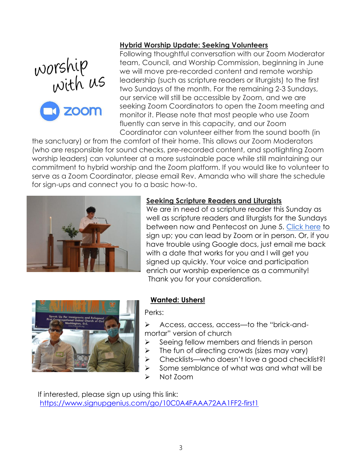



#### **Hybrid Worship Update: Seeking Volunteers**

Following thoughtful conversation with our Zoom Moderator team, Council, and Worship Commission, beginning in June we will move pre-recorded content and remote worship leadership (such as scripture readers or liturgists) to the first two Sundays of the month. For the remaining 2-3 Sundays, our service will still be accessible by Zoom, and we are seeking Zoom Coordinators to open the Zoom meeting and monitor it. Please note that most people who use Zoom fluently can serve in this capacity, and our Zoom Coordinator can volunteer either from the sound booth (in

the sanctuary) or from the comfort of their home. This allows our Zoom Moderators (who are responsible for sound checks, pre-recorded content, and spotlighting Zoom worship leaders) can volunteer at a more sustainable pace while still maintaining our commitment to hybrid worship and the Zoom platform. If you would like to volunteer to serve as a Zoom Coordinator, please email Rev. Amanda who will share the schedule for sign-ups and connect you to a basic how-to.



#### **Seeking Scripture Readers and Liturgists**

We are in need of a scripture reader this Sunday as well as scripture readers and liturgists for the Sundays between now and Pentecost on June 5. [Click](https://docs.google.com/document/d/1TB90LJ0MT-_-TsiMbe9yLN7TK6KscgK75L7d0q0RQUU/edit?usp=sharing) here to sign up; you can lead by Zoom or in person. Or, if you have trouble using Google docs, just email me back with a date that works for you and I will get you signed up quickly. Your voice and participation enrich our worship experience as a community! Thank you for your consideration.



#### **Wanted: Ushers!**

Perks:

- ➢ Access, access, access—to the "brick-andmortar" version of church
- ➢ Seeing fellow members and friends in person
- $\triangleright$  The fun of directing crowds (sizes may vary)
- ➢ Checklists—who doesn't love a good checklist?!
- ➢ Some semblance of what was and what will be
- ➢ Not Zoom

 If interested, please sign up using this link: <https://www.signupgenius.com/go/10C0A4FAAA72AA1FF2-first1>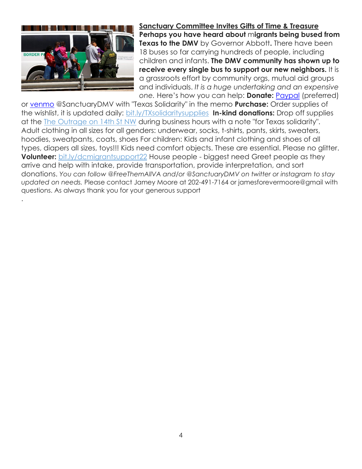

.

**Sanctuary Committee Invites Gifts of Time & Treasure Perhaps you have heard about** m**igrants being bused from Texas to the DMV** by Governor Abbott**.** There have been 18 buses so far carrying hundreds of people, including children and infants. **The DMV community has shown up to receive every single bus to support our new neighbors.** It is a grassroots effort by community orgs, mutual aid groups and individuals. *It is a huge undertaking and an expensive one.* Here's how you can help: **Donate:** [Paypal](https://sanctuarydmv.us15.list-manage.com/track/click?u=71c0ba2ff2e1300d1fecf4aed&id=e344de1854&e=557a974eed) (preferred)

or [venmo](https://sanctuarydmv.us15.list-manage.com/track/click?u=71c0ba2ff2e1300d1fecf4aed&id=ffbcaed94c&e=557a974eed) @SanctuaryDMV with "Texas Solidarity" in the memo **Purchase:** Order supplies of the wishlist, it is updated daily: [bit.ly/TXsolidaritysupplies](https://sanctuarydmv.us15.list-manage.com/track/click?u=71c0ba2ff2e1300d1fecf4aed&id=b9cba10367&e=557a974eed) **In-kind donations:** Drop off supplies at the [The Outrage on 14th St NW](https://sanctuarydmv.us15.list-manage.com/track/click?u=71c0ba2ff2e1300d1fecf4aed&id=31e9c3366c&e=557a974eed) during business hours with a note "for Texas solidarity". Adult clothing in all sizes for all genders: underwear, socks, t-shirts, pants, skirts, sweaters, hoodies, sweatpants, coats, shoes For children: Kids and infant clothing and shoes of all types, diapers all sizes, toys!!! Kids need comfort objects. These are essential. Please no glitter. **Volunteer:** [bit.ly/dcmigrantsupport22](https://sanctuarydmv.us15.list-manage.com/track/click?u=71c0ba2ff2e1300d1fecf4aed&id=e8e089a27a&e=557a974eed) House people - biggest need Greet people as they arrive and help with intake, provide transportation, provide interpretation, and sort donations. *You can follow @FreeThemAllVA and/or @SanctuaryDMV on twitter or instagram to stay updated on needs.* Please contact Jamey Moore at 202-491-7164 or jamesforevermoore@gmail with questions. As always thank you for your generous support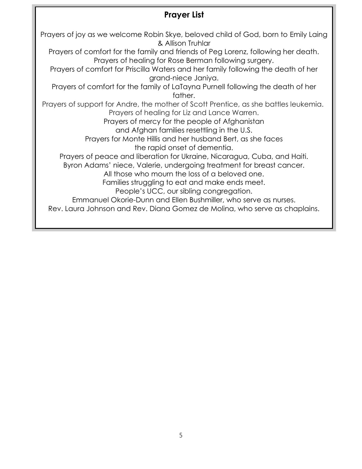## **Prayer List**

Prayers of joy as we welcome Robin Skye, beloved child of God, born to Emily Laing & Allison Truhlar Prayers of comfort for the family and friends of Peg Lorenz, following her death. Prayers of healing for Rose Berman following surgery. Prayers of comfort for Priscilla Waters and her family following the death of her grand-niece Janiya. Prayers of comfort for the family of LaTayna Purnell following the death of her father. Prayers of support for Andre, the mother of Scott Prentice, as she battles leukemia. Prayers of healing for Liz and Lance Warren. Prayers of mercy for the people of Afghanistan and Afghan families resettling in the U.S. Prayers for Monte Hillis and her husband Bert, as she faces the rapid onset of dementia. Prayers of peace and liberation for Ukraine, Nicaragua, Cuba, and Haiti. Byron Adams' niece, Valerie, undergoing treatment for breast cancer. All those who mourn the loss of a beloved one. Families struggling to eat and make ends meet. People's UCC, our sibling congregation. Emmanuel Okorie-Dunn and Ellen Bushmiller, who serve as nurses. Rev. Laura Johnson and Rev. Diana Gomez de Molina, who serve as chaplains.